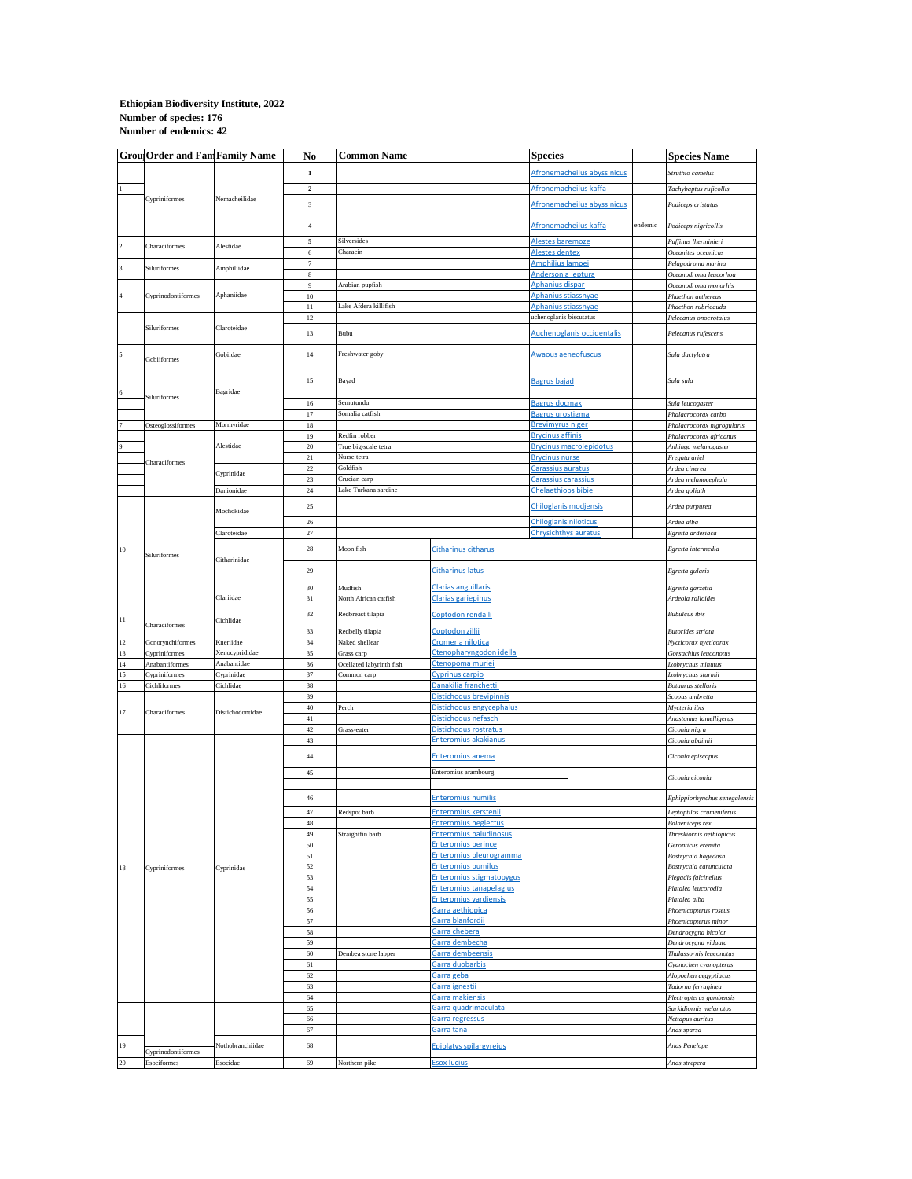## **Number of endemics: 42 Ethiopian Biodiversity Institute, 2022 Number of species: 176**

|                | <b>Grou Order and Fam Family Name</b> |                                | No                        | <b>Common Name</b>                      |                                                              | <b>Species</b>                                       |                                |                       | <b>Species Name</b>                               |
|----------------|---------------------------------------|--------------------------------|---------------------------|-----------------------------------------|--------------------------------------------------------------|------------------------------------------------------|--------------------------------|-----------------------|---------------------------------------------------|
|                |                                       |                                | $\mathbf 1$               |                                         |                                                              | Afronemacheilus abyssinicus<br>Afronemacheilus kaffa |                                |                       | Struthio camelus                                  |
|                |                                       |                                | $\mathbf 2$               |                                         |                                                              |                                                      |                                |                       | Tachybaptus ruficollis                            |
|                | Cypriniformes                         | Nemacheilidae                  | $\ensuremath{\mathbf{3}}$ |                                         |                                                              | Afronemacheilus abyssinicus                          |                                |                       |                                                   |
|                |                                       |                                |                           |                                         |                                                              |                                                      |                                |                       | Podiceps cristatus                                |
|                |                                       |                                | $\sqrt{4}$                |                                         |                                                              |                                                      | Afronemacheilus kaffa          | endemic               | Podiceps nigricollis                              |
| $\,2\,$        | Characiformes                         | Alestidae                      | 5                         | Silversides                             |                                                              | <u>Alestes baremoze</u>                              |                                |                       | Puffinus lherminieri                              |
|                |                                       |                                | 6                         | Characin                                |                                                              | <u>Alestes dentex</u>                                |                                |                       | Oceanites oceanicus                               |
| 3              | Siluriformes                          | Amphiliidae                    | 7<br>$\bf8$               |                                         |                                                              | Amphilius lampei<br>Andersonia leptura               |                                |                       | Pelagodroma marina<br>Oceanodroma leucorhoa       |
|                |                                       |                                | 9                         | Arabian pupfish                         |                                                              | Aphanius dispar                                      |                                |                       | Oceanodroma monorhis                              |
| $\overline{4}$ | Cyprinodontiformes                    | Aphaniidae                     | $10\,$                    |                                         |                                                              | Aphanius stiassnyae                                  |                                | Phaethon aethereus    |                                                   |
|                |                                       |                                | 11                        | Lake Afdera killifish                   |                                                              | Aphanius stiassnyae                                  |                                |                       | Phaethon rubricauda                               |
|                | Siluriformes                          | Claroteidae                    | 12                        | Bubu                                    |                                                              | uchenoglanis biscutatus                              |                                | Pelecanus onocrotalus |                                                   |
|                |                                       |                                | 13                        |                                         |                                                              |                                                      | Auchenoglanis occidentalis     |                       | Pelecanus rufescens                               |
| 5              |                                       | Gobiidae                       | 14                        | Freshwater goby                         |                                                              | <b>Awaous aeneofuscus</b>                            |                                |                       | Sula dactylatra                                   |
|                | Gobiiformes                           |                                |                           |                                         |                                                              |                                                      |                                |                       |                                                   |
|                |                                       |                                | 15                        | Bayad                                   |                                                              | <b>Bagrus bajad</b>                                  |                                |                       | Sula sula                                         |
|                | <b>Siluriformes</b>                   | Bagridae                       |                           |                                         |                                                              |                                                      |                                |                       |                                                   |
|                |                                       |                                | $16\,$<br>17              | Semutundu<br>Somalia catfish            |                                                              | Bagrus docmak<br>Bagrus urostigma                    |                                |                       | Sula leucogaster                                  |
|                | Osteoglossiformes                     | Mormyridae                     | $18\,$                    |                                         |                                                              | <b>Brevimyrus niger</b>                              |                                |                       | Phalacrocorax carbo<br>Phalacrocorax nigrogularis |
|                |                                       |                                | 19                        | Redfin robber                           |                                                              | <b>Brycinus affinis</b>                              |                                |                       | Phalacrocorax africanus                           |
|                |                                       | Alestidae                      | $20\,$                    | True big-scale tetra                    |                                                              |                                                      | <b>Brycinus macrolepidotus</b> |                       | Anhinga melanogaster                              |
|                | Characiformes                         |                                | 21                        | Nurse tetra                             |                                                              | <b>Brycinus nurse</b>                                |                                |                       | Fregata ariel                                     |
|                |                                       | Cyprinidae                     | 22                        | Goldfish                                |                                                              | <u>Carassius auratus</u>                             |                                |                       | Ardea cinerea                                     |
|                |                                       |                                | 23                        | Crucian carp                            |                                                              | <u>Carassius carassius</u>                           |                                |                       | Ardea melanocephala                               |
|                |                                       | Danionidae                     | 24                        | Lake Turkana sardine                    |                                                              | <b>Chelaethiops bibie</b>                            |                                |                       | Ardea goliath                                     |
|                |                                       | Mochokidae                     | 25                        |                                         |                                                              |                                                      | Chiloglanis modjensis          |                       | Ardea purpurea                                    |
|                |                                       |                                | $26\,$                    |                                         |                                                              | <b>Chiloglanis niloticus</b>                         |                                |                       | Ardea alba                                        |
|                | Siluriformes                          | Claroteidae                    | $27\,$                    |                                         |                                                              | Chrysichthys auratus                                 |                                |                       | Egretta ardesiaca                                 |
| $10$           |                                       | Citharinidae                   | 28                        | Moon fish                               | <b>Citharinus citharus</b>                                   |                                                      |                                |                       | Egretta intermedia                                |
|                |                                       |                                |                           |                                         |                                                              |                                                      |                                |                       |                                                   |
|                |                                       |                                | 29                        | <b>Citharinus latus</b>                 |                                                              |                                                      |                                |                       | Egretta gularis                                   |
|                |                                       | Clariidae                      | 30                        | Mudfish                                 | Clarias anguillaris                                          |                                                      |                                |                       | Egretta garzetta                                  |
|                |                                       |                                | 31                        | North African catfish                   | <u>Clarias gariepinus</u>                                    |                                                      |                                |                       | Ardeola ralloides                                 |
|                |                                       |                                | 32                        | Redbreast tilapia                       | Coptodon rendalli                                            |                                                      |                                |                       | <b>Bubulcus</b> ibis                              |
| 11             | Characiformes                         | Cichlidae                      |                           |                                         |                                                              |                                                      |                                |                       |                                                   |
|                |                                       |                                | 33<br>34                  | Redbelly tilapia<br>Naked shellear      | Coptodon zillii<br>Cromeria nilotica                         |                                                      |                                |                       | Butorides striata                                 |
| $12\,$<br>13   | Gonorynchiformes<br>Cypriniformes     | Kneriidae<br>Xenocyprididae    | 35                        | Grass carp                              | Ctenopharyngodon idella                                      |                                                      |                                |                       | Nycticorax nycticorax<br>Gorsachius leuconotus    |
| 14             | Anabantiformes                        | Anabantidae                    | 36                        | Ocellated labyrinth fish                | Ctenopoma muriei                                             |                                                      |                                |                       | Ixobrychus minutus                                |
| 15             | <b>Cypriniformes</b>                  | Cyprinidae                     | 37                        | Common carp                             | <u>Cyprinus carpio</u>                                       |                                                      |                                |                       | Ixobrychus sturmii                                |
| $16\,$         | Cichliformes                          | Cichlidae                      | 38                        |                                         | Danakilia franchettii                                        |                                                      |                                |                       | Botaurus stellaris                                |
|                | Characiformes                         | Distichodontidae<br>Cyprinidae | 39                        |                                         | Distichodus brevipinnis                                      |                                                      |                                |                       | Scopus umbretta                                   |
| $17\,$         |                                       |                                | $40\,$                    | Perch                                   | Distichodus engycephalus                                     |                                                      |                                |                       | Mycteria ibis                                     |
|                |                                       |                                | $41\,$                    |                                         | Distichodus nefasch                                          |                                                      |                                |                       | Anastomus lamelligerus                            |
|                |                                       |                                | $42\,$<br>43              | Grass-eater                             | Distichodus rostratus<br>Enteromius akakianus                |                                                      |                                |                       | Ciconia nigra<br>Ciconia abdimii                  |
|                |                                       |                                |                           |                                         |                                                              |                                                      |                                |                       |                                                   |
|                |                                       |                                | 44                        |                                         | <b>Enteromius anema</b>                                      |                                                      |                                |                       | Ciconia episcopus                                 |
|                |                                       |                                | 45                        | Enteromius arambourg                    |                                                              |                                                      |                                |                       | Ciconia ciconia                                   |
|                | Cypriniformes                         |                                |                           | <b>Enteromius humilis</b>               |                                                              |                                                      |                                |                       |                                                   |
|                |                                       |                                | 46                        |                                         |                                                              |                                                      |                                |                       | Ephippiorhynchus senegalensis                     |
|                |                                       |                                | 47                        | Redspot barb                            | <b>Enteromius kerstenii</b>                                  |                                                      |                                |                       | Leptoptilos crumeniferus                          |
|                |                                       |                                | $\rm 48$                  |                                         | <b>Enteromius neglectus</b>                                  |                                                      |                                |                       | Balaeniceps rex                                   |
|                |                                       |                                | 49                        | Straightfin barb                        | <b>Enteromius paludinosus</b>                                |                                                      |                                |                       | Threskiornis aethiopicus                          |
|                |                                       |                                | 50                        |                                         | <u>Enteromius perince</u>                                    |                                                      |                                |                       | Geronticus eremita                                |
|                |                                       |                                | 51<br>52                  |                                         | Enteromius pleurogramma                                      |                                                      |                                |                       | Bostrychia hagedash                               |
| $18\,$         |                                       |                                | 53                        |                                         | <u>Enteromius pumilus</u><br><b>Enteromius stigmatopygus</b> |                                                      |                                |                       | Bostrychia carunculata<br>Plegadis falcinellus    |
|                |                                       |                                | 54                        |                                         | <b>Enteromius tanapelagius</b>                               |                                                      |                                |                       | Platalea leucorodia                               |
|                |                                       |                                | 55                        |                                         | <b>Enteromius yardiensis</b>                                 |                                                      |                                |                       | Platalea alba                                     |
|                |                                       |                                | 56                        | Garra aethiopica                        |                                                              |                                                      |                                |                       | Phoenicopterus roseus                             |
|                |                                       |                                | 57                        |                                         | Garra blanfordii                                             |                                                      |                                |                       | Phoenicopterus minor                              |
|                |                                       |                                | 58                        | Garra chebera                           |                                                              |                                                      |                                |                       | Dendrocygna bicolor                               |
|                |                                       |                                | 59                        | <u> Garra dembecha</u>                  |                                                              |                                                      |                                |                       | Dendrocygna viduata                               |
|                |                                       |                                | 60                        | Dembea stone lapper<br>Garra dembeensis |                                                              |                                                      |                                |                       | Thalassornis leuconotus                           |
|                |                                       |                                | 61<br>62                  | <u>Garra duobarbis</u>                  |                                                              |                                                      |                                |                       | Cyanochen cyanopterus                             |
|                |                                       |                                | 63                        |                                         | Garra geba<br>Garra ignestii                                 |                                                      |                                |                       | Alopochen aegyptiacus<br>Tadorna ferruginea       |
|                |                                       |                                | 64                        |                                         | Garra makiensis                                              |                                                      |                                |                       | Plectropterus gambensis                           |
|                |                                       |                                | 65                        | Garra quadrimaculata                    |                                                              |                                                      |                                |                       | Sarkidiornis melanotos                            |
|                |                                       |                                | 66                        | Garra regressus                         |                                                              |                                                      |                                | Nettapus auritus      |                                                   |
|                |                                       |                                | 67                        |                                         | <u>Garra tana</u>                                            |                                                      |                                |                       | Anas sparsa                                       |
| 19             | Cyprinodontiformes                    | Nothobranchiidae               | 68                        | <b>Epiplatys spilargyreius</b>          |                                                              |                                                      |                                |                       | Anas Penelope                                     |
| 20             | Esociformes                           | Esocidae                       | 69                        | Northern pike                           | <b>Esox lucius</b>                                           |                                                      |                                |                       | Anas strepera                                     |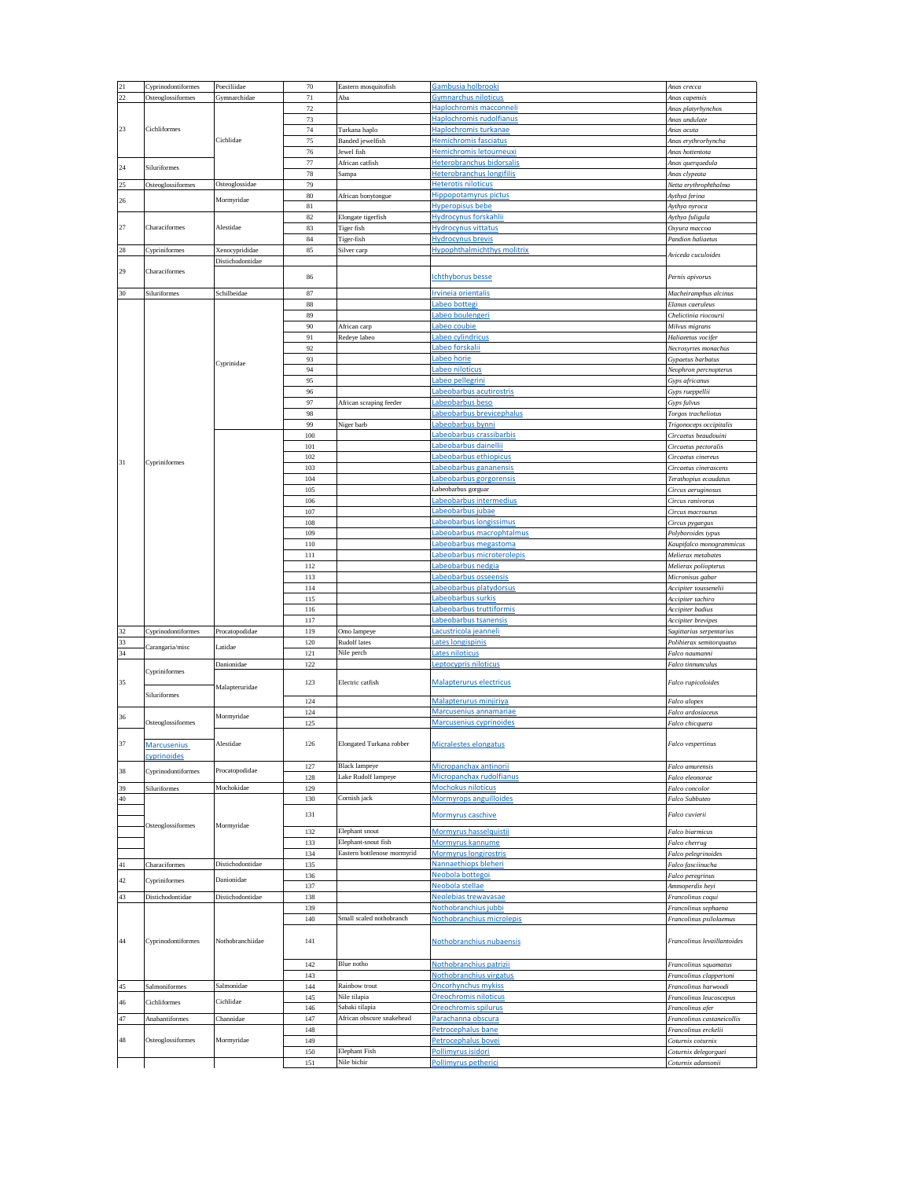| 21          | Cyprinodontiformes                                 | Poeciliidae                                | $70\,$     | Eastern mosquitofish                              | Gambusia holbrooki                                       | Anas crecca                                |
|-------------|----------------------------------------------------|--------------------------------------------|------------|---------------------------------------------------|----------------------------------------------------------|--------------------------------------------|
| $22\,$      | Osteoglossiformes                                  | Gymnarchidae                               | $71\,$     | Aba                                               | Gymnarchus niloticus                                     | Anas capensis                              |
|             |                                                    |                                            |            |                                                   |                                                          |                                            |
|             |                                                    |                                            | 72         |                                                   | Haplochromis macconneli                                  | Anas platyrhynchos                         |
|             |                                                    |                                            | 73         |                                                   | <u>Haplochromis rudolfianus</u>                          | Anas undulate                              |
| 23          | Cichliformes                                       |                                            | 74         | Turkana haplo                                     | Haplochromis turkanae                                    | Anas acuta                                 |
|             |                                                    | Cichlidae                                  | 75         | Banded jewelfish                                  | Hemichromis fasciatus                                    | Anas erythrorhyncha                        |
|             |                                                    |                                            |            | Jewel fish                                        | Hemichromis letourneuxi                                  | Anas hottentota                            |
|             |                                                    |                                            | 76<br>77   |                                                   |                                                          |                                            |
| 24          | Siluriformes                                       |                                            |            | African catfish                                   | Heterobranchus bidorsalis                                | Anas querquedula                           |
|             |                                                    |                                            | $78\,$     | Sampa                                             | <u>Heterobranchus longifilis</u>                         | Anas clypeata                              |
| 25          | Osteoglossiformes                                  | Osteoglossidae                             | 79         |                                                   | <b>Heterotis niloticus</b>                               | Netta erythrophthalma                      |
|             |                                                    |                                            | $80\,$     | African bonytongue                                | <b>Hippopotamyrus pictus</b>                             | Aythya ferina                              |
| 26          |                                                    | Mormyridae                                 |            |                                                   |                                                          |                                            |
|             |                                                    |                                            | $81\,$     |                                                   | Hyperopisus bebe                                         | Aythya nyroca                              |
|             |                                                    |                                            | 82         | Elongate tigerfish                                | <u>Hydrocynus forskahlii</u>                             | Aythya fuligula                            |
| 27          | Characiformes                                      | Alestidae                                  | 83         | Tiger fish                                        | Hydrocynus vittatus                                      | Охуига тассоа                              |
|             |                                                    |                                            | 84         | Figer-fish                                        | <b>Hydrocynus</b> brevis                                 | <b>Pandion</b> haliaetus                   |
|             |                                                    |                                            |            |                                                   |                                                          |                                            |
| 28          | Cypriniformes                                      | Xenocyprididae                             | 85         | <b>Hypophthalmichthys molitrix</b><br>Silver carp |                                                          | Aviceda cuculoides                         |
|             |                                                    | Distichodontidae                           |            |                                                   |                                                          |                                            |
| 29          | Characiformes                                      |                                            | 86         |                                                   | <b>Ichthyborus besse</b>                                 | Pernis apivorus                            |
| 30          | Siluriformes                                       | Schilbeidae                                | 87         |                                                   | Irvineia orientalis                                      | Macheiramphus alcinus                      |
|             |                                                    |                                            | 88         |                                                   | abeo botteg                                              | Elanus caeruleus                           |
|             |                                                    |                                            |            |                                                   |                                                          |                                            |
|             |                                                    |                                            | 89         |                                                   | <u>abeo boulengeri</u>                                   | Chelictinia riocourii                      |
|             |                                                    |                                            | 90         | African carp                                      | <u>abeo coubie.</u>                                      | Milvus migrans                             |
|             |                                                    |                                            | 91         | Redeye labeo                                      | <u>abeo cylindricus</u>                                  | Haliaeetus vocifer                         |
|             |                                                    |                                            | 92         |                                                   | <u>abeo forskalii</u>                                    |                                            |
|             |                                                    |                                            |            |                                                   |                                                          | Necrosyrtes monachus                       |
|             |                                                    |                                            | 93         |                                                   | abeo horie                                               | Gypaetus barbatus                          |
|             |                                                    | Cyprinidae                                 | 94         |                                                   | abeo niloticus                                           | Neophron percnopterus                      |
|             |                                                    |                                            | 95         |                                                   | abeo pellegrini                                          | Gyps africanus                             |
|             |                                                    |                                            | 96         |                                                   |                                                          |                                            |
|             |                                                    |                                            |            |                                                   | abeobarbus acutirostris                                  | Gyps rueppellii                            |
|             |                                                    |                                            | 97         | African scraping feeder                           | abeobarbus beso                                          | Gyps fulvus                                |
|             |                                                    |                                            | 98         |                                                   | <u>abeobarbus brevicephalus</u>                          | Torgos tracheliotus                        |
|             |                                                    |                                            | 99         | Niger barb                                        | abeobarbus bynni                                         | Trigonoceps occipitalis                    |
|             |                                                    |                                            |            |                                                   | abeobarbus crassibarbis                                  |                                            |
|             |                                                    |                                            | 100        |                                                   |                                                          | Circaetus beaudouini                       |
|             | Cypriniformes                                      |                                            | 101        |                                                   | abeobarbus dainellii                                     | Circaetus pectoralis                       |
|             |                                                    |                                            | 102        |                                                   | abeobarbus ethiopicus                                    | Circaetus cinereus                         |
| 31          |                                                    |                                            | 103        |                                                   | abeobarbus gananensis                                    | Circaetus cinerascens                      |
|             |                                                    |                                            |            |                                                   |                                                          |                                            |
|             |                                                    |                                            | 104        |                                                   | abeobarbus gorgorensis                                   | Terathopius ecaudatus                      |
|             |                                                    |                                            | 105        |                                                   | abeobarbus gorguar                                       | Circus aeruginosus                         |
|             |                                                    |                                            | 106        |                                                   | abeobarbus intermedius                                   | Circus ranivorus                           |
|             |                                                    |                                            | 107        |                                                   | abeobarbus juba                                          | Circus macrourus                           |
|             |                                                    |                                            |            |                                                   | abeobarbus longissimus                                   |                                            |
|             |                                                    |                                            | 108        |                                                   |                                                          | Circus pygargus                            |
|             |                                                    |                                            | 109        |                                                   | abeobarbus macrophtalmus                                 | Polyboroides typus                         |
|             |                                                    |                                            | 110        |                                                   | abeobarbus megastoma                                     | Kaupifalco monogrammicus                   |
|             |                                                    |                                            | 111        |                                                   | abeobarbus microterolepis                                | Melierax metabates                         |
|             |                                                    |                                            | 112        |                                                   | <u>abeobarbus nedgia</u>                                 |                                            |
|             |                                                    |                                            |            |                                                   |                                                          | Melierax poliopterus                       |
|             |                                                    |                                            | 113        |                                                   | abeobarbus osseensis                                     | Micronisus gabar                           |
|             |                                                    |                                            | 114        |                                                   | <u>abeobarbus platydorsus</u>                            | Accipiter toussenelii                      |
|             |                                                    |                                            | 115        |                                                   | Labeobarbus surkis                                       | Accipiter tachiro                          |
|             |                                                    |                                            | 116        |                                                   | <u>abeobarbus truttiformis</u>                           | Accipiter badius                           |
|             |                                                    |                                            |            |                                                   |                                                          |                                            |
|             |                                                    |                                            | 117        |                                                   | abeobarbus tsanensis                                     | Accipiter brevipes                         |
| 32          | Cyprinodontiformes                                 | Procatopodidae                             | 119        | Omo lampeye                                       | acustricola jeanneli                                     | Sagittarius serpentarius                   |
| 33          |                                                    |                                            | 120        | <b>Rudolf</b> lates                               | Lates longispinis                                        | Polihierax semitorquatus                   |
| 34          | Carangaria/misc                                    | Latidae                                    | 121        | Nile perch                                        | ates niloticus                                           | Falco naumanni                             |
|             |                                                    |                                            |            |                                                   |                                                          |                                            |
|             |                                                    | Danionidae<br>Malapteruridae<br>Mormyridae | 122        |                                                   | Leptocypris niloticus                                    | Falco tinnunculus                          |
|             | Cypriniformes<br>Siluriformes<br>Osteoglossiformes |                                            |            |                                                   |                                                          |                                            |
| 35          |                                                    |                                            | 123        | Electric catfish                                  | Malapterurus electricus                                  | Falco rupicoloides                         |
|             |                                                    |                                            |            |                                                   |                                                          |                                            |
|             |                                                    |                                            | 124        |                                                   | Malapterurus minjiriya                                   | Falco alopex                               |
|             |                                                    |                                            | 124        |                                                   | <u>Marcusenius annamariae</u>                            | Falco ardosiaceus                          |
| 36          |                                                    |                                            | 125        |                                                   | Marcusenius cyprinoides                                  | Falco chicquera                            |
|             |                                                    |                                            |            |                                                   |                                                          |                                            |
| 37          | <b>Marcusenius</b>                                 | Alestidae                                  | 126        | Elongated Turkana robber                          | Micralestes elongatus                                    | Falco vespertinus                          |
|             | cyprinoides<br>Cyprinodontiformes                  | Procatopodidae                             |            |                                                   |                                                          |                                            |
| 38          |                                                    |                                            | 127        | <b>Black lampeye</b>                              | Micropanchax antinorii                                   | Falco amurensis                            |
|             |                                                    |                                            | 128        | Lake Rudolf lampeye                               | <u>Micropanchax rudolfianus</u>                          | Falco eleonorae                            |
| 39          | Siluriformes                                       | Mochokidae                                 | 129        |                                                   | <u> Mochokus niloticus</u>                               | Falco concolor                             |
|             |                                                    |                                            |            |                                                   |                                                          |                                            |
| $40\,$      |                                                    |                                            | 130        | Cornish jack                                      | <b>Mormyrops anguilloides</b>                            | Falco Subbuteo                             |
|             | Osteoglossiformes                                  | Mormyridae                                 |            |                                                   |                                                          |                                            |
|             |                                                    |                                            | 131        |                                                   | <u>Mormyrus caschive</u>                                 | Falco cuvierii                             |
|             |                                                    |                                            |            | Elephant snout                                    | Mormyrus hasselquistii                                   | Falco biarmicus                            |
|             |                                                    |                                            |            |                                                   |                                                          |                                            |
|             |                                                    |                                            | 132        |                                                   |                                                          |                                            |
|             |                                                    |                                            | 133        | Elephant-snout fish                               | <u>Mormyrus kannume</u>                                  | Falco cherrug                              |
|             |                                                    |                                            | 134        | Eastern bottlenose mormyrid                       | <b>Mormyrus longirostris</b>                             | Falco pelegrinoides                        |
| $41\,$      | Characiformes                                      | Distichodontidae                           | 135        |                                                   | <b>Nannaethiops bleheri</b>                              | Falco fasciinucha                          |
|             |                                                    |                                            |            |                                                   |                                                          |                                            |
| 42          | Cypriniformes                                      | Danionidae                                 | 136        |                                                   | <u>Neobola bottegoi</u>                                  | Falco peregrinus                           |
|             |                                                    |                                            | 137        |                                                   | Neobola stellae                                          | Ammoperdix heyi                            |
| 43          | Distichodontidae                                   | Distichodontidae                           | 138        |                                                   | Neolebias trewavasae                                     | Francolinus coqui                          |
|             |                                                    |                                            | 139        |                                                   | Nothobranchius iubbi                                     | Francolinus sephaena                       |
|             |                                                    |                                            | 140        | Small scaled nothobranch                          | Nothobranchius microlepis                                | Francolinus psilolaemus                    |
| 44          | Cyprinodontiformes                                 | Nothobranchiidae                           | 141        |                                                   | Nothobranchius nubaensis                                 | Francolinus levaillantoides                |
|             |                                                    |                                            |            |                                                   |                                                          |                                            |
|             |                                                    |                                            | 142        | Blue notho                                        | Nothobranchius patrizii                                  | Francolinus squamatus                      |
|             |                                                    |                                            | 143        |                                                   | <b>Nothobranchius virgatus</b>                           | Francolinus clappertoni                    |
| 45          |                                                    |                                            |            | Rainbow trout                                     |                                                          |                                            |
|             | Salmoniformes                                      | Salmonidae                                 | 144        |                                                   | Oncorhynchus mykiss                                      | Francolinus harwoodi                       |
| $\sqrt{46}$ | Cichliformes                                       | Cichlidae                                  | 145        | Nile tilapia                                      | Oreochromis niloticus                                    | Francolinus leucoscepus                    |
|             |                                                    |                                            | 146        | Sabaki tilapia                                    | Oreochromis spilurus                                     | Francolinus afer                           |
| 47          | Anabantiformes                                     | Channidae                                  | 147        | African obscure snakehead                         | Parachanna obscura                                       | Francolinus castaneicollis                 |
|             |                                                    |                                            |            |                                                   |                                                          |                                            |
|             |                                                    |                                            | 148        |                                                   | Petrocephalus bane                                       | Francolinus erckelii                       |
| 48          | Osteoglossiformes                                  | Mormyridae                                 | 149        |                                                   | <u>Petrocephalus bovei</u>                               | Coturnix coturnix                          |
|             |                                                    |                                            | 150<br>151 | Elephant Fish<br>Nile bichir                      | <u>Pollimyrus isidori</u><br><u>Pollimyrus petherici</u> | Coturnix delegorguei<br>Coturnix adansonii |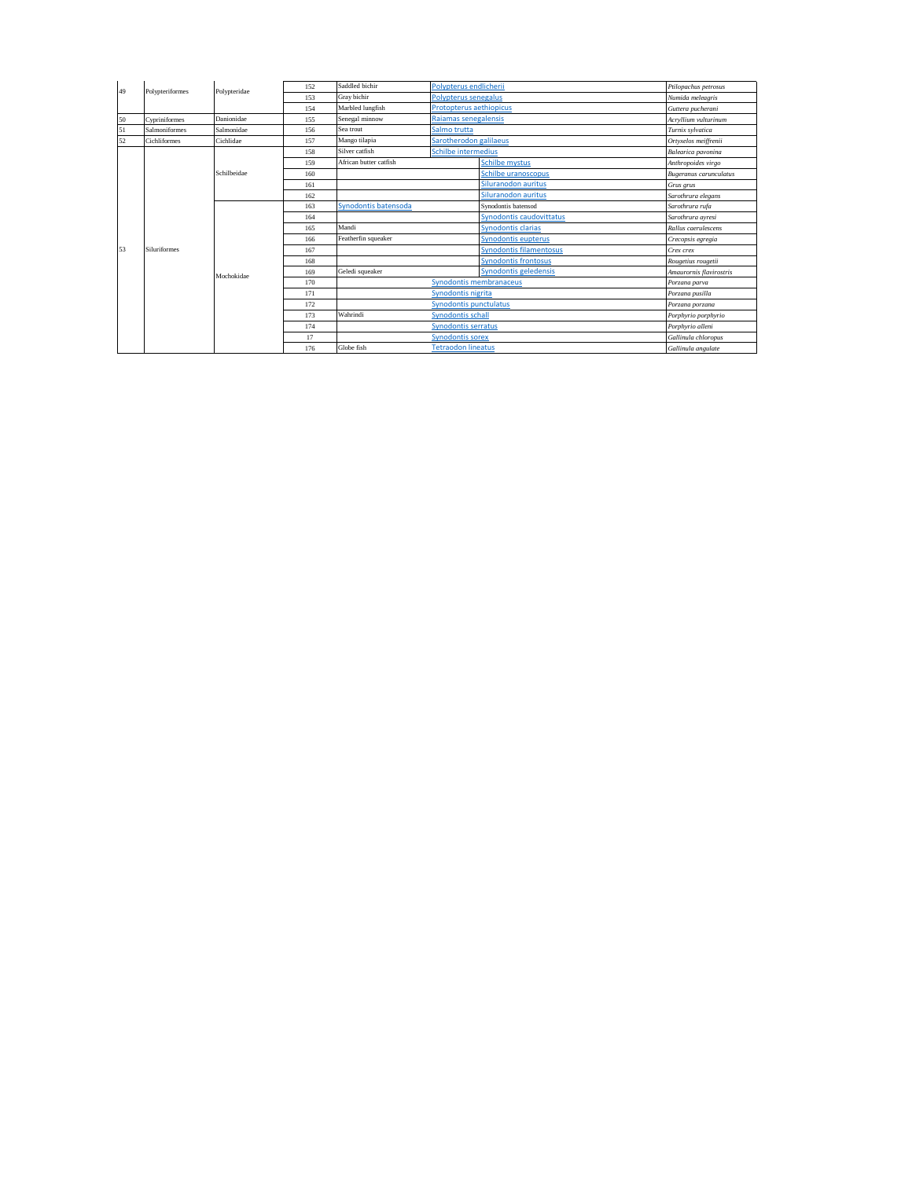| 49 | Polypteriformes     | Polypteridae | 152 | Saddled bichir<br>Polypterus endlicherii     |                         |                                | Ptilopachus petrosus          |
|----|---------------------|--------------|-----|----------------------------------------------|-------------------------|--------------------------------|-------------------------------|
|    |                     |              | 153 | Gray bichir<br>Polypterus senegalus          |                         | Numida meleagris               |                               |
|    |                     |              | 154 | Marbled lungfish                             | Protopterus aethiopicus |                                | Guttera pucherani             |
| 50 | Cypriniformes       | Danionidae   | 155 | Senegal minnow                               | Raiamas senegalensis    |                                | Acryllium vulturinum          |
| 51 | Salmoniformes       | Salmonidae   | 156 | Sea trout                                    | Salmo trutta            |                                | Turnix sylvatica              |
| 52 | Cichliformes        | Cichlidae    | 157 | Mango tilapia                                | Sarotherodon galilaeus  |                                | Ortyxelos meiffrenii          |
| 53 | <b>Siluriformes</b> | Schilbeidae  | 158 | <b>Schilbe intermedius</b><br>Silver catfish |                         |                                | Balearica pavonina            |
|    |                     |              | 159 | African butter catfish                       |                         | <b>Schilbe mystus</b>          | Anthropoides virgo            |
|    |                     |              | 160 |                                              |                         | Schilbe uranoscopus            | <b>Bugeranus</b> carunculatus |
|    |                     |              | 161 |                                              |                         | Siluranodon auritus            | Grus grus                     |
|    |                     |              | 162 |                                              |                         | Siluranodon auritus            | Sarothrura elegans            |
|    |                     | Mochokidae   | 163 | Synodontis batensoda                         |                         | Synodontis batensod            | Sarothrura rufa               |
|    |                     |              | 164 |                                              |                         | Synodontis caudovittatus       | Sarothrura avresi             |
|    |                     |              | 165 | Mandi                                        |                         | <b>Synodontis clarias</b>      | Rallus caerulescens           |
|    |                     |              | 166 | Featherfin squeaker                          |                         | Synodontis eupterus            | Crecopsis egregia             |
|    |                     |              | 167 |                                              |                         | <b>Synodontis filamentosus</b> | Crex crex                     |
|    |                     |              | 168 |                                              |                         | <b>Synodontis frontosus</b>    | Rougetius rougetii            |
|    |                     |              | 169 | Geledi squeaker                              |                         | Synodontis geledensis          | Amaurornis flavirostris       |
|    |                     |              | 170 | Synodontis membranaceus                      |                         |                                | Porzana parva                 |
|    |                     |              | 171 | Synodontis nigrita                           |                         |                                | Porzana pusilla               |
|    |                     |              | 172 | Synodontis punctulatus                       |                         |                                | Porzana porzana               |
|    |                     |              | 173 | Wahrindi<br><b>Synodontis schall</b>         |                         |                                | Porphyrio porphyrio           |
|    |                     |              | 174 | Synodontis serratus                          |                         |                                | Porphyrio alleni              |
|    |                     |              | 17  | <b>Synodontis sorex</b>                      |                         |                                | Gallinula chloropus           |
|    |                     |              | 176 | Globe fish<br><b>Tetraodon lineatus</b>      |                         |                                | Gallinula angulate            |